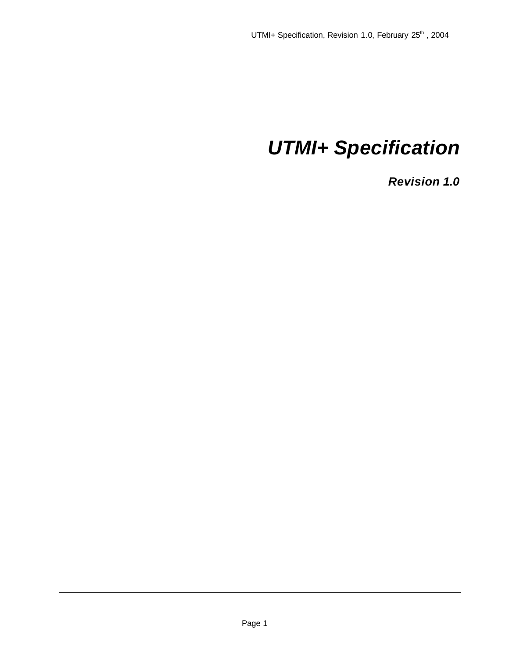# *UTMI+ Specification*

*Revision 1.0*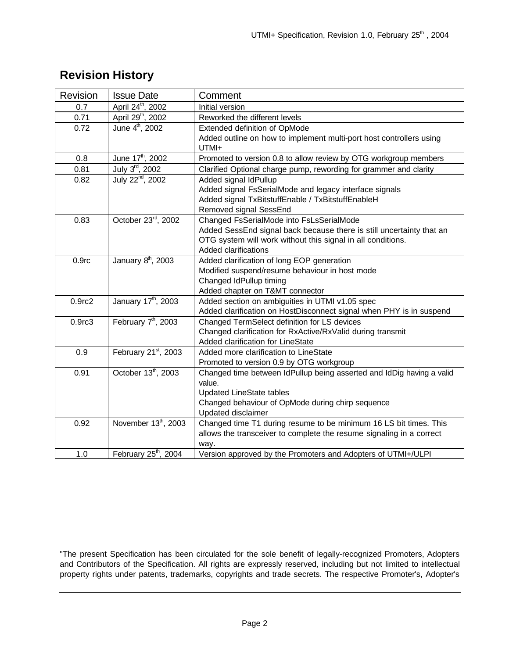| Revision           | <b>Issue Date</b>                | Comment                                                               |
|--------------------|----------------------------------|-----------------------------------------------------------------------|
| 0.7                | April 24 <sup>th</sup> , 2002    | Initial version                                                       |
| 0.71               | April 29 <sup>th</sup> , 2002    | Reworked the different levels                                         |
| 0.72               | June 4 <sup>th</sup> , 2002      | Extended definition of OpMode                                         |
|                    |                                  | Added outline on how to implement multi-port host controllers using   |
|                    |                                  | UTMI+                                                                 |
| 0.8                | June 17 <sup>th</sup> , 2002     | Promoted to version 0.8 to allow review by OTG workgroup members      |
| 0.81               | July 3rd, 2002                   | Clarified Optional charge pump, rewording for grammer and clarity     |
| 0.82               | July 22 <sup>nd</sup> , 2002     | Added signal IdPullup                                                 |
|                    |                                  | Added signal FsSerialMode and legacy interface signals                |
|                    |                                  | Added signal TxBitstuffEnable / TxBitstuffEnableH                     |
|                    |                                  | Removed signal SessEnd                                                |
| 0.83               | October 23rd, 2002               | Changed FsSerialMode into FsLsSerialMode                              |
|                    |                                  | Added SessEnd signal back because there is still uncertainty that an  |
|                    |                                  | OTG system will work without this signal in all conditions.           |
|                    |                                  | Added clarifications                                                  |
| 0.9 <sub>rc</sub>  | January 8 <sup>th</sup> , 2003   | Added clarification of long EOP generation                            |
|                    |                                  | Modified suspend/resume behaviour in host mode                        |
|                    |                                  | Changed IdPullup timing                                               |
|                    |                                  | Added chapter on T&MT connector                                       |
| 0.9 <sub>rc2</sub> | January 17 <sup>th</sup> , 2003  | Added section on ambiguities in UTMI v1.05 spec                       |
|                    |                                  | Added clarification on HostDisconnect signal when PHY is in suspend   |
| 0.9 <sub>rc3</sub> | February $7th$ , 2003            | Changed TermSelect definition for LS devices                          |
|                    |                                  | Changed clarification for RxActive/RxValid during transmit            |
|                    |                                  | Added clarification for LineState                                     |
| 0.9                | February 21st, 2003              | Added more clarification to LineState                                 |
|                    |                                  | Promoted to version 0.9 by OTG workgroup                              |
| 0.91               | October 13 <sup>th</sup> , 2003  | Changed time between IdPullup being asserted and IdDig having a valid |
|                    |                                  | value.                                                                |
|                    |                                  | <b>Updated LineState tables</b>                                       |
|                    |                                  | Changed behaviour of OpMode during chirp sequence                     |
|                    |                                  | Updated disclaimer                                                    |
| 0.92               | November 13th, 2003              | Changed time T1 during resume to be minimum 16 LS bit times. This     |
|                    |                                  | allows the transceiver to complete the resume signaling in a correct  |
|                    |                                  | way.                                                                  |
| 1.0                | February 25 <sup>th</sup> , 2004 | Version approved by the Promoters and Adopters of UTMI+/ULPI          |

"The present Specification has been circulated for the sole benefit of legally-recognized Promoters, Adopters and Contributors of the Specification. All rights are expressly reserved, including but not limited to intellectual property rights under patents, trademarks, copyrights and trade secrets. The respective Promoter's, Adopter's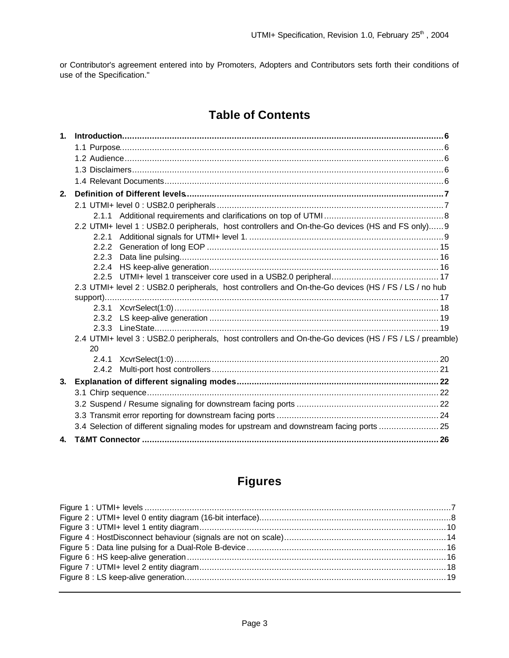or Contributor's agreement entered into by Promoters, Adopters and Contributors sets forth their conditions of use of the Specification."

# **Table of Contents**

| 1 <sup>1</sup> |                                                                                                                |  |
|----------------|----------------------------------------------------------------------------------------------------------------|--|
|                |                                                                                                                |  |
|                |                                                                                                                |  |
|                |                                                                                                                |  |
|                |                                                                                                                |  |
| 2.             |                                                                                                                |  |
|                |                                                                                                                |  |
|                |                                                                                                                |  |
|                | 2.2 UTMI+ level 1 : USB2.0 peripherals, host controllers and On-the-Go devices (HS and FS only) 9              |  |
|                | 2.2.1                                                                                                          |  |
|                | 2.2.2                                                                                                          |  |
|                | 2.2.3                                                                                                          |  |
|                | 2.2.4                                                                                                          |  |
|                | 2.2.5                                                                                                          |  |
|                | 2.3 UTMI+ level 2 : USB2.0 peripherals, host controllers and On-the-Go devices (HS / FS / LS / no hub          |  |
|                |                                                                                                                |  |
|                |                                                                                                                |  |
|                | 2.3.2                                                                                                          |  |
|                |                                                                                                                |  |
|                | 2.4 UTMI+ level 3 : USB2.0 peripherals, host controllers and On-the-Go devices (HS / FS / LS / preamble)<br>20 |  |
|                | 2.4.1                                                                                                          |  |
|                | 2.4.2                                                                                                          |  |
| 3.             |                                                                                                                |  |
|                |                                                                                                                |  |
|                |                                                                                                                |  |
|                |                                                                                                                |  |
|                | 3.4 Selection of different signaling modes for upstream and downstream facing ports  25                        |  |
| 4.             |                                                                                                                |  |

# **Figures**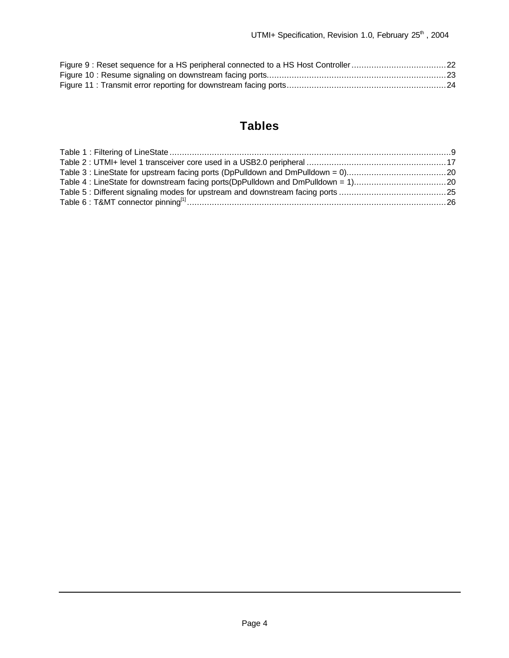# **Tables**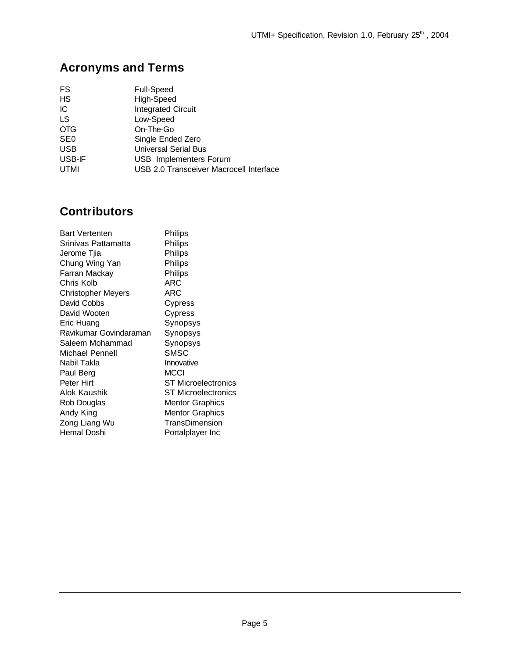# **Acronyms and Terms**

| FS              | <b>Full-Speed</b>                       |
|-----------------|-----------------------------------------|
| <b>HS</b>       | High-Speed                              |
| IС              | <b>Integrated Circuit</b>               |
| LS              | Low-Speed                               |
| <b>OTG</b>      | On-The-Go                               |
| SE <sub>0</sub> | Single Ended Zero                       |
| <b>USB</b>      | <b>Universal Serial Bus</b>             |
| USB-IF          | <b>USB</b> Implementers Forum           |
| <b>UTMI</b>     | USB 2.0 Transceiver Macrocell Interface |

# **Contributors**

| <b>Bart Vertenten</b>     | Philips                    |
|---------------------------|----------------------------|
| Srinivas Pattamatta       | Philips                    |
| Jerome Tjia               | Philips                    |
| Chung Wing Yan            | Philips                    |
| Farran Mackay             | Philips                    |
| Chris Kolb                | ARC                        |
| <b>Christopher Meyers</b> | ARC                        |
| David Cobbs               | Cypress                    |
| David Wooten              | Cypress                    |
| Eric Huang                | Synopsys                   |
| Ravikumar Govindaraman    | Synopsys                   |
| Saleem Mohammad           | Synopsys                   |
| Michael Pennell           | SMSC                       |
| Nabil Takla               | Innovative                 |
| Paul Berg                 | MCCI                       |
| Peter Hirt                | <b>ST Microelectronics</b> |
| Alok Kaushik              | <b>ST Microelectronics</b> |
| Rob Douglas               | <b>Mentor Graphics</b>     |
| Andy King                 | <b>Mentor Graphics</b>     |
| Zong Liang Wu             | TransDimension             |
| Hemal Doshi               | Portalplayer Inc           |
|                           |                            |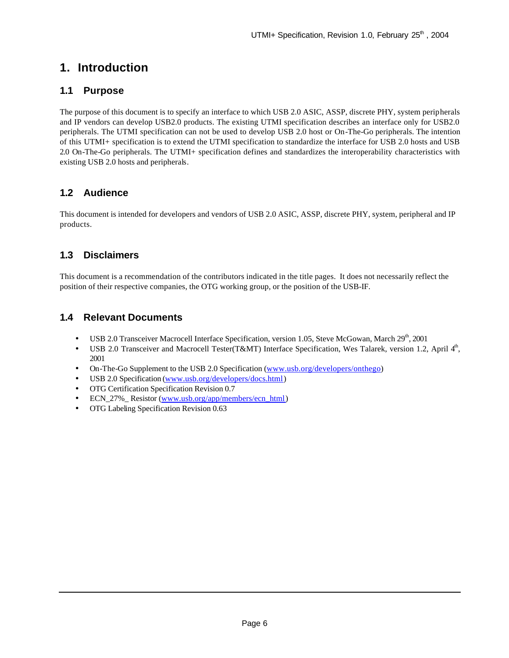# **1. Introduction**

### **1.1 Purpose**

The purpose of this document is to specify an interface to which USB 2.0 ASIC, ASSP, discrete PHY, system peripherals and IP vendors can develop USB2.0 products. The existing UTMI specification describes an interface only for USB2.0 peripherals. The UTMI specification can not be used to develop USB 2.0 host or On-The-Go peripherals. The intention of this UTMI+ specification is to extend the UTMI specification to standardize the interface for USB 2.0 hosts and USB 2.0 On-The-Go peripherals. The UTMI+ specification defines and standardizes the interoperability characteristics with existing USB 2.0 hosts and peripherals.

### **1.2 Audience**

This document is intended for developers and vendors of USB 2.0 ASIC, ASSP, discrete PHY, system, peripheral and IP products.

# **1.3 Disclaimers**

This document is a recommendation of the contributors indicated in the title pages. It does not necessarily reflect the position of their respective companies, the OTG working group, or the position of the USB-IF.

### **1.4 Relevant Documents**

- USB 2.0 Transceiver Macrocell Interface Specification, version 1.05, Steve McGowan, March 29<sup>th</sup>, 2001
- USB 2.0 Transceiver and Macrocell Tester(T&MT) Interface Specification, Wes Talarek, version 1.2, April  $4<sup>th</sup>$ , 2001
- On-The-Go Supplement to the USB 2.0 Specification (www.usb.org/developers/onthego)
- USB 2.0 Specification (www.usb.org/developers/docs.html)
- OTG Certification Specification Revision 0.7
- ECN 27% Resistor (www.usb.org/app/members/ecn\_html)
- OTG Labeling Specification Revision 0.63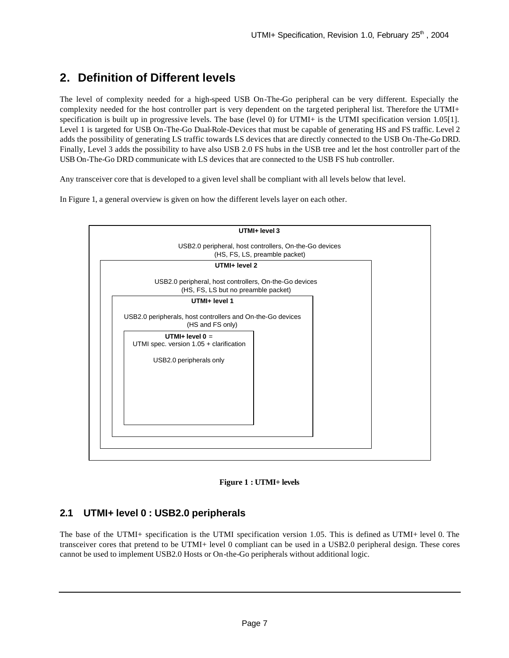# **2. Definition of Different levels**

The level of complexity needed for a high-speed USB On-The-Go peripheral can be very different. Especially the complexity needed for the host controller part is very dependent on the targeted peripheral list. Therefore the UTMI+ specification is built up in progressive levels. The base (level 0) for UTMI+ is the UTMI specification version 1.05[1]. Level 1 is targeted for USB On-The-Go Dual-Role-Devices that must be capable of generating HS and FS traffic. Level 2 adds the possibility of generating LS traffic towards LS devices that are directly connected to the USB On-The-Go DRD. Finally, Level 3 adds the possibility to have also USB 2.0 FS hubs in the USB tree and let the host controller part of the USB On-The-Go DRD communicate with LS devices that are connected to the USB FS hub controller.

Any transceiver core that is developed to a given level shall be compliant with all levels below that level.

In Figure 1, a general overview is given on how the different levels layer on each other.





### **2.1 UTMI+ level 0 : USB2.0 peripherals**

The base of the UTMI+ specification is the UTMI specification version 1.05. This is defined as UTMI+ level 0. The transceiver cores that pretend to be UTMI+ level 0 compliant can be used in a USB2.0 peripheral design. These cores cannot be used to implement USB2.0 Hosts or On-the-Go peripherals without additional logic.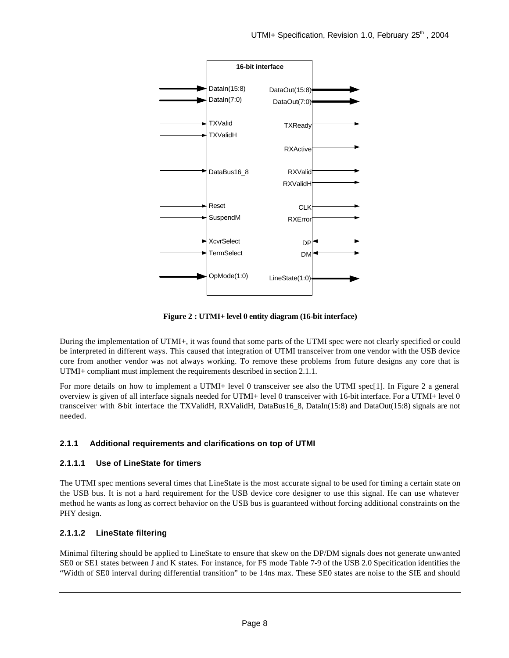

**Figure 2 : UTMI+ level 0 entity diagram (16-bit interface)**

During the implementation of UTMI+, it was found that some parts of the UTMI spec were not clearly specified or could be interpreted in different ways. This caused that integration of UTMI transceiver from one vendor with the USB device core from another vendor was not always working. To remove these problems from future designs any core that is UTMI+ compliant must implement the requirements described in section 2.1.1.

For more details on how to implement a UTMI+ level 0 transceiver see also the UTMI spec<sup>[1]</sup>. In Figure 2 a general overview is given of all interface signals needed for UTMI+ level 0 transceiver with 16-bit interface. For a UTMI+ level 0 transceiver with 8-bit interface the TXValidH, RXValidH, DataBus16\_8, DataIn(15:8) and DataOut(15:8) signals are not needed.

#### **2.1.1 Additional requirements and clarifications on top of UTMI**

#### **2.1.1.1 Use of LineState for timers**

The UTMI spec mentions several times that LineState is the most accurate signal to be used for timing a certain state on the USB bus. It is not a hard requirement for the USB device core designer to use this signal. He can use whatever method he wants as long as correct behavior on the USB bus is guaranteed without forcing additional constraints on the PHY design.

#### **2.1.1.2 LineState filtering**

Minimal filtering should be applied to LineState to ensure that skew on the DP/DM signals does not generate unwanted SE0 or SE1 states between J and K states. For instance, for FS mode Table 7-9 of the USB 2.0 Specification identifies the "Width of SE0 interval during differential transition" to be 14ns max. These SE0 states are noise to the SIE and should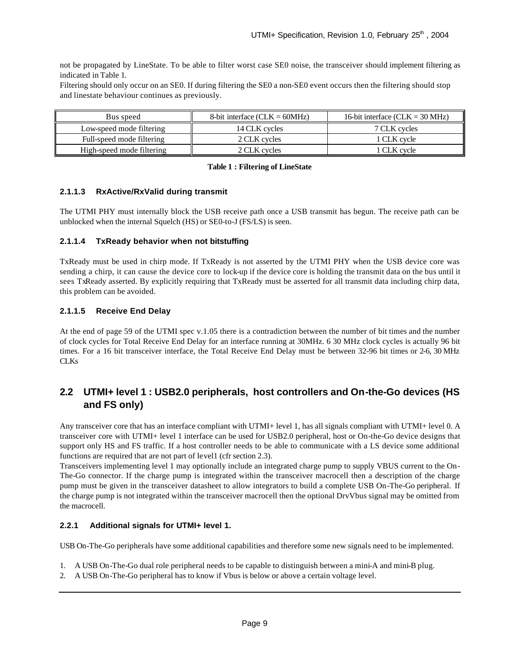not be propagated by LineState. To be able to filter worst case SE0 noise, the transceiver should implement filtering as indicated in Table 1.

Filtering should only occur on an SE0. If during filtering the SE0 a non-SE0 event occurs then the filtering should stop and linestate behaviour continues as previously.

| Bus speed                 | 8-bit interface $(CLK = 60MHz)$ | 16-bit interface $(CLK = 30 MHz)$ |
|---------------------------|---------------------------------|-----------------------------------|
| Low-speed mode filtering  | 14 CLK cycles                   | 7 CLK cycles                      |
| Full-speed mode filtering | 2 CLK cycles                    | 1 CLK cvcle                       |
| High-speed mode filtering | 2 CLK cycles                    | 1 CLK cvcle                       |

#### **Table 1 : Filtering of LineState**

#### **2.1.1.3 RxActive/RxValid during transmit**

The UTMI PHY must internally block the USB receive path once a USB transmit has begun. The receive path can be unblocked when the internal Squelch (HS) or SE0-to-J (FS/LS) is seen.

#### **2.1.1.4 TxReady behavior when not bitstuffing**

TxReady must be used in chirp mode. If TxReady is not asserted by the UTMI PHY when the USB device core was sending a chirp, it can cause the device core to lock-up if the device core is holding the transmit data on the bus until it sees TxReady asserted. By explicitly requiring that TxReady must be asserted for all transmit data including chirp data, this problem can be avoided.

#### **2.1.1.5 Receive End Delay**

At the end of page 59 of the UTMI spec v.1.05 there is a contradiction between the number of bit times and the number of clock cycles for Total Receive End Delay for an interface running at 30MHz. 6 30 MHz clock cycles is actually 96 bit times. For a 16 bit transceiver interface, the Total Receive End Delay must be between 32-96 bit times or 2-6, 30 MHz CLKs

### **2.2 UTMI+ level 1 : USB2.0 peripherals, host controllers and On-the-Go devices (HS and FS only)**

Any transceiver core that has an interface compliant with UTMI+ level 1, has all signals compliant with UTMI+ level 0. A transceiver core with UTMI+ level 1 interface can be used for USB2.0 peripheral, host or On-the-Go device designs that support only HS and FS traffic. If a host controller needs to be able to communicate with a LS device some additional functions are required that are not part of level1 (cfr section 2.3).

Transceivers implementing level 1 may optionally include an integrated charge pump to supply VBUS current to the On-The-Go connector. If the charge pump is integrated within the transceiver macrocell then a description of the charge pump must be given in the transceiver datasheet to allow integrators to build a complete USB On-The-Go peripheral. If the charge pump is not integrated within the transceiver macrocell then the optional DrvVbus signal may be omitted from the macrocell.

#### **2.2.1 Additional signals for UTMI+ level 1.**

USB On-The-Go peripherals have some additional capabilities and therefore some new signals need to be implemented.

- 1. A USB On-The-Go dual role peripheral needs to be capable to distinguish between a mini-A and mini-B plug.
- 2. A USB On-The-Go peripheral has to know if Vbus is below or above a certain voltage level.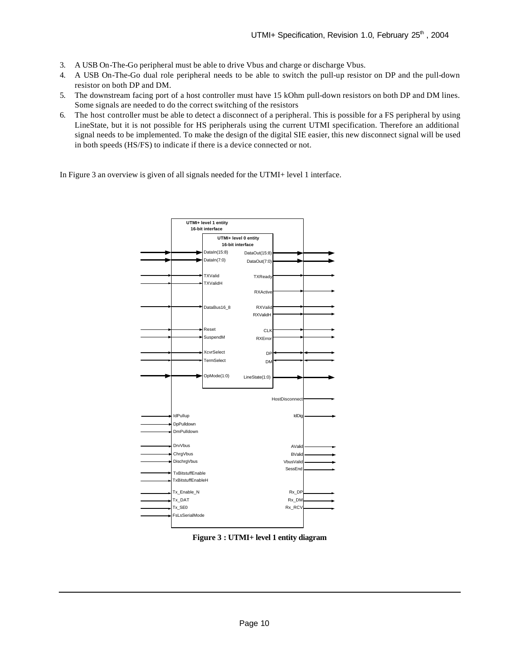- 3. A USB On-The-Go peripheral must be able to drive Vbus and charge or discharge Vbus.
- 4. A USB On-The-Go dual role peripheral needs to be able to switch the pull-up resistor on DP and the pull-down resistor on both DP and DM.
- 5. The downstream facing port of a host controller must have 15 kOhm pull-down resistors on both DP and DM lines. Some signals are needed to do the correct switching of the resistors
- 6. The host controller must be able to detect a disconnect of a peripheral. This is possible for a FS peripheral by using LineState, but it is not possible for HS peripherals using the current UTMI specification. Therefore an additional signal needs to be implemented. To make the design of the digital SIE easier, this new disconnect signal will be used in both speeds (HS/FS) to indicate if there is a device connected or not.

In Figure 3 an overview is given of all signals needed for the UTMI+ level 1 interface.



**Figure 3 : UTMI+ level 1 entity diagram**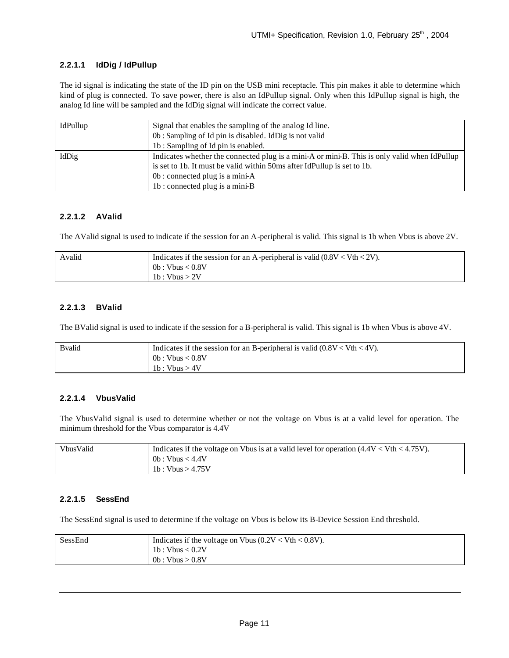#### **2.2.1.1 IdDig / IdPullup**

The id signal is indicating the state of the ID pin on the USB mini receptacle. This pin makes it able to determine which kind of plug is connected. To save power, there is also an IdPullup signal. Only when this IdPullup signal is high, the analog Id line will be sampled and the IdDig signal will indicate the correct value.

| IdPullup | Signal that enables the sampling of the analog Id line.                                      |
|----------|----------------------------------------------------------------------------------------------|
|          |                                                                                              |
|          | 0b: Sampling of Id pin is disabled. IdDig is not valid                                       |
|          | 1b: Sampling of Id pin is enabled.                                                           |
| IdDig    | Indicates whether the connected plug is a mini-A or mini-B. This is only valid when IdPullup |
|          | is set to 1b. It must be valid within 50ms after IdPullup is set to 1b.                      |
|          | 0b : connected plug is a mini-A                                                              |
|          | 1b: connected plug is a mini-B                                                               |

#### **2.2.1.2 AValid**

The AValid signal is used to indicate if the session for an A-peripheral is valid. This signal is 1b when Vbus is above 2V.

| Avalid | Indicates if the session for an A-peripheral is valid $(0.8V < Vth < 2V)$ .<br>0b:Vbus < 0.8V |
|--------|-----------------------------------------------------------------------------------------------|
|        | 1b : Vbus $> 2V$                                                                              |

#### **2.2.1.3 BValid**

The BValid signal is used to indicate if the session for a B-peripheral is valid. This signal is 1b when Vbus is above 4V.

| <b>B</b> valid | Indicates if the session for an B-peripheral is valid $(0.8V < Vth < 4V)$ . |
|----------------|-----------------------------------------------------------------------------|
|                | 0b:Vbus < 0.8V                                                              |
|                | 1b:Vbus > 4V                                                                |

#### **2.2.1.4 VbusValid**

The VbusValid signal is used to determine whether or not the voltage on Vbus is at a valid level for operation. The minimum threshold for the Vbus comparator is 4.4V

| VbusValid | Indicates if the voltage on Vbus is at a valid level for operation $(4.4V < Vth < 4.75V)$ . |
|-----------|---------------------------------------------------------------------------------------------|
|           | 0b: Vbus < 4.4V                                                                             |
|           | 1b : Vbus > $4.75V$                                                                         |

#### **2.2.1.5 SessEnd**

The SessEnd signal is used to determine if the voltage on Vbus is below its B-Device Session End threshold.

| SessEnd | Indicates if the voltage on Vbus $(0.2V < Vth < 0.8V)$ . |
|---------|----------------------------------------------------------|
|         | 1b : Vbus $< 0.2V$                                       |
|         | 0b:Vbus > 0.8V                                           |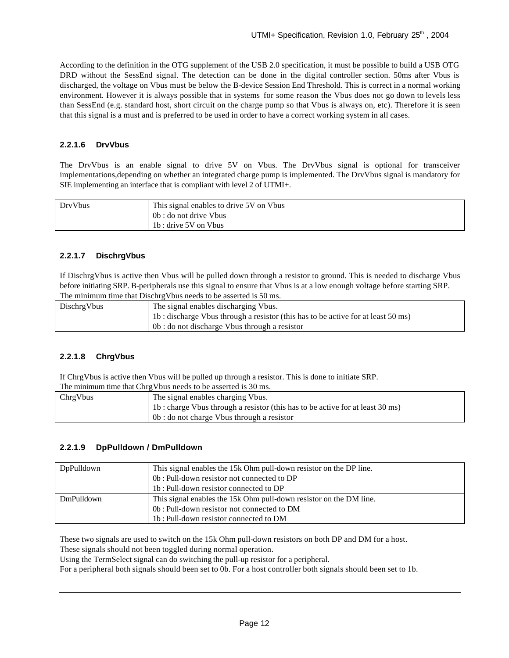According to the definition in the OTG supplement of the USB 2.0 specification, it must be possible to build a USB OTG DRD without the SessEnd signal. The detection can be done in the digital controller section. 50ms after Vbus is discharged, the voltage on Vbus must be below the B-device Session End Threshold. This is correct in a normal working environment. However it is always possible that in systems for some reason the Vbus does not go down to levels less than SessEnd (e.g. standard host, short circuit on the charge pump so that Vbus is always on, etc). Therefore it is seen that this signal is a must and is preferred to be used in order to have a correct working system in all cases.

#### **2.2.1.6 DrvVbus**

The DrvVbus is an enable signal to drive 5V on Vbus. The DrvVbus signal is optional for transceiver implementations,depending on whether an integrated charge pump is implemented. The DrvVbus signal is mandatory for SIE implementing an interface that is compliant with level 2 of UTMI+.

| DrvVbus | This signal enables to drive 5V on Vbus |  |
|---------|-----------------------------------------|--|
|         | 0b : do not drive Vbus                  |  |
|         | 1b : drive 5V on Vbus                   |  |

#### **2.2.1.7 DischrgVbus**

If DischrgVbus is active then Vbus will be pulled down through a resistor to ground. This is needed to discharge Vbus before initiating SRP. B-peripherals use this signal to ensure that Vbus is at a low enough voltage before starting SRP. The minimum time that Dischrg Vbus needs to be asserted is 50 ms.

| DischrgVbus | The signal enables discharging Vbus.                                             |  |
|-------------|----------------------------------------------------------------------------------|--|
|             | 1b: discharge Vbus through a resistor (this has to be active for at least 50 ms) |  |
|             | 0b : do not discharge Vbus through a resistor                                    |  |

#### **2.2.1.8 ChrgVbus**

If ChrgVbus is active then Vbus will be pulled up through a resistor. This is done to initiate SRP.

| ChrgVbus | The signal enables charging Vbus.                                              |
|----------|--------------------------------------------------------------------------------|
|          | 1b : charge Vbus through a resistor (this has to be active for at least 30 ms) |
|          | 0b : do not charge Vbus through a resistor                                     |

#### **2.2.1.9 DpPulldown / DmPulldown**

| DpPulldown | This signal enables the 15k Ohm pull-down resistor on the DP line. |  |
|------------|--------------------------------------------------------------------|--|
|            | 0b: Pull-down resistor not connected to DP                         |  |
|            | 1b: Pull-down resistor connected to DP                             |  |
| DmPulldown | This signal enables the 15k Ohm pull-down resistor on the DM line. |  |
|            | 0b: Pull-down resistor not connected to DM                         |  |
|            | 1b: Pull-down resistor connected to DM                             |  |

These two signals are used to switch on the 15k Ohm pull-down resistors on both DP and DM for a host.

These signals should not been toggled during normal operation.

Using the TermSelect signal can do switching the pull-up resistor for a peripheral.

For a peripheral both signals should been set to 0b. For a host controller both signals should been set to 1b.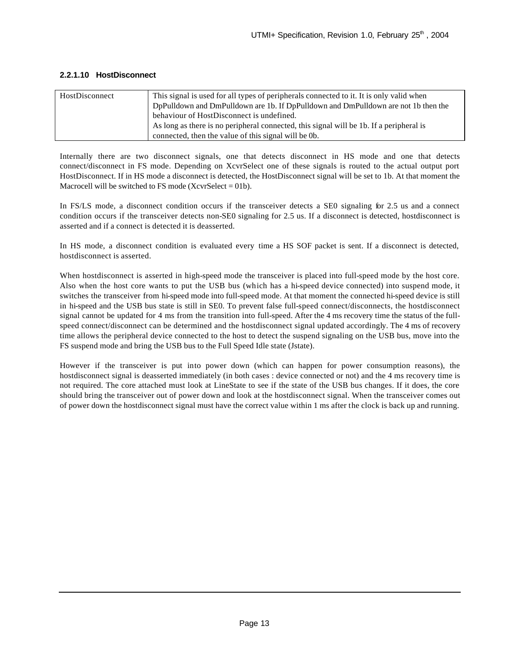| HostDisconnect | This signal is used for all types of peripherals connected to it. It is only valid when |
|----------------|-----------------------------------------------------------------------------------------|
|                | DpPulldown and DmPulldown are 1b. If DpPulldown and DmPulldown are not 1b then the      |
|                | behaviour of HostDisconnect is undefined.                                               |
|                | As long as there is no peripheral connected, this signal will be 1b. If a peripheral is |
|                | connected, then the value of this signal will be 0b.                                    |

#### **2.2.1.10 HostDisconnect**

Internally there are two disconnect signals, one that detects disconnect in HS mode and one that detects connect/disconnect in FS mode. Depending on XcvrSelect one of these signals is routed to the actual output port HostDisconnect. If in HS mode a disconnect is detected, the HostDisconnect signal will be set to 1b. At that moment the Macrocell will be switched to FS mode (XcvrSelect =  $01b$ ).

In FS/LS mode, a disconnect condition occurs if the transceiver detects a SE0 signaling for 2.5 us and a connect condition occurs if the transceiver detects non-SE0 signaling for 2.5 us. If a disconnect is detected, hostdisconnect is asserted and if a connect is detected it is deasserted.

In HS mode, a disconnect condition is evaluated every time a HS SOF packet is sent. If a disconnect is detected, hostdisconnect is asserted.

When hostdisconnect is asserted in high-speed mode the transceiver is placed into full-speed mode by the host core. Also when the host core wants to put the USB bus (which has a hi-speed device connected) into suspend mode, it switches the transceiver from hi-speed mode into full-speed mode. At that moment the connected hi-speed device is still in hi-speed and the USB bus state is still in SE0. To prevent false full-speed connect/disconnects, the hostdisconnect signal cannot be updated for 4 ms from the transition into full-speed. After the 4 ms recovery time the status of the fullspeed connect/disconnect can be determined and the hostdisconnect signal updated accordingly. The 4 ms of recovery time allows the peripheral device connected to the host to detect the suspend signaling on the USB bus, move into the FS suspend mode and bring the USB bus to the Full Speed Idle state (Jstate).

However if the transceiver is put into power down (which can happen for power consumption reasons), the hostdisconnect signal is deasserted immediately (in both cases : device connected or not) and the 4 ms recovery time is not required. The core attached must look at LineState to see if the state of the USB bus changes. If it does, the core should bring the transceiver out of power down and look at the hostdisconnect signal. When the transceiver comes out of power down the hostdisconnect signal must have the correct value within 1 ms after the clock is back up and running.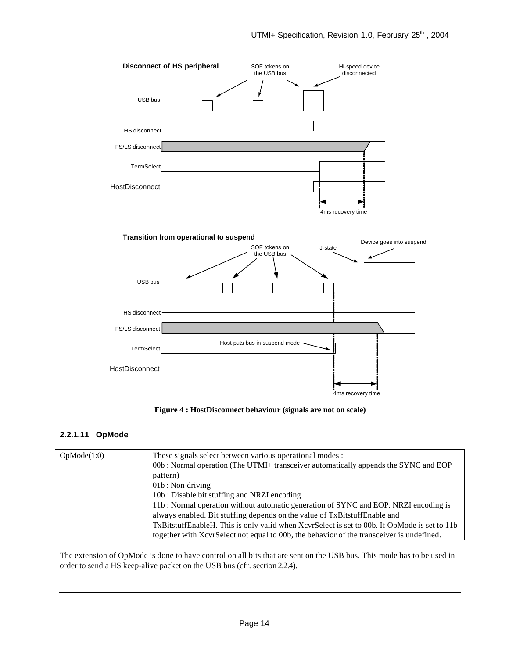

**Figure 4 : HostDisconnect behaviour (signals are not on scale)**

#### **2.2.1.11 OpMode**

| OpMode(1:0) | These signals select between various operational modes :                                     |  |
|-------------|----------------------------------------------------------------------------------------------|--|
|             | 00b: Normal operation (The UTMI+ transceiver automatically appends the SYNC and EOP          |  |
|             | pattern)                                                                                     |  |
|             | $01b: Non-driving$                                                                           |  |
|             | 10b: Disable bit stuffing and NRZI encoding                                                  |  |
|             | 11b: Normal operation without automatic generation of SYNC and EOP. NRZI encoding is         |  |
|             | always enabled. Bit stuffing depends on the value of TxBitstuffEnable and                    |  |
|             | TxBitstuffEnableH. This is only valid when XcvrSelect is set to 00b. If OpMode is set to 11b |  |
|             | together with XcvrSelect not equal to 00b, the behavior of the transceiver is undefined.     |  |

The extension of OpMode is done to have control on all bits that are sent on the USB bus. This mode has to be used in order to send a HS keep-alive packet on the USB bus (cfr. section 2.2.4).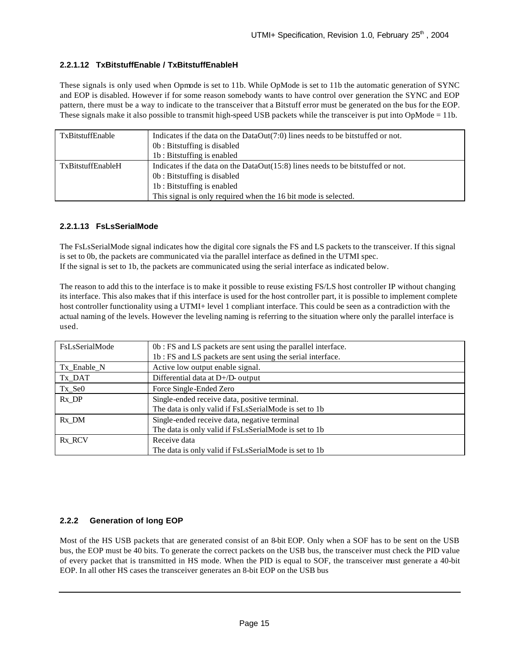#### **2.2.1.12 TxBitstuffEnable / TxBitstuffEnableH**

These signals is only used when Opmode is set to 11b. While OpMode is set to 11b the automatic generation of SYNC and EOP is disabled. However if for some reason somebody wants to have control over generation the SYNC and EOP pattern, there must be a way to indicate to the transceiver that a Bitstuff error must be generated on the bus for the EOP. These signals make it also possible to transmit high-speed USB packets while the transceiver is put into OpMode = 11b.

| TxBitstuffEnable  | Indicates if the data on the DataOut(7:0) lines needs to be bitstuffed or not.<br>0b: Bitstuffing is disabled<br>1b: Bitstuffing is enabled                                                                    |
|-------------------|----------------------------------------------------------------------------------------------------------------------------------------------------------------------------------------------------------------|
| TxBitstuffEnableH | Indicates if the data on the DataOut(15:8) lines needs to be bitstuffed or not.<br>0b: Bitstuffing is disabled<br>1b: Bitstuffing is enabled<br>This signal is only required when the 16 bit mode is selected. |

#### **2.2.1.13 FsLsSerialMode**

The FsLsSerialMode signal indicates how the digital core signals the FS and LS packets to the transceiver. If this signal is set to 0b, the packets are communicated via the parallel interface as defined in the UTMI spec. If the signal is set to 1b, the packets are communicated using the serial interface as indicated below.

The reason to add this to the interface is to make it possible to reuse existing FS/LS host controller IP without changing its interface. This also makes that if this interface is used for the host controller part, it is possible to implement complete host controller functionality using a UTMI+ level 1 compliant interface. This could be seen as a contradiction with the actual naming of the levels. However the leveling naming is referring to the situation where only the parallel interface is used.

| FsLsSerialMode | 0b : FS and LS packets are sent using the parallel interface.<br>1b: FS and LS packets are sent using the serial interface. |  |  |  |
|----------------|-----------------------------------------------------------------------------------------------------------------------------|--|--|--|
| Tx_Enable_N    | Active low output enable signal.                                                                                            |  |  |  |
| Tx_DAT         | Differential data at D+/D- output                                                                                           |  |  |  |
| Tx_Se0         | Force Single-Ended Zero                                                                                                     |  |  |  |
| Rx DP          | Single-ended receive data, positive terminal.                                                                               |  |  |  |
|                | The data is only valid if FsLsSerialMode is set to 1b                                                                       |  |  |  |
| Rx DM          | Single-ended receive data, negative terminal                                                                                |  |  |  |
|                | The data is only valid if FsLsSerialMode is set to 1b                                                                       |  |  |  |
| Rx RCV         | Receive data                                                                                                                |  |  |  |
|                | The data is only valid if FsLsSerialMode is set to 1b                                                                       |  |  |  |

#### **2.2.2 Generation of long EOP**

Most of the HS USB packets that are generated consist of an 8-bit EOP. Only when a SOF has to be sent on the USB bus, the EOP must be 40 bits. To generate the correct packets on the USB bus, the transceiver must check the PID value of every packet that is transmitted in HS mode. When the PID is equal to SOF, the transceiver must generate a 40-bit EOP. In all other HS cases the transceiver generates an 8-bit EOP on the USB bus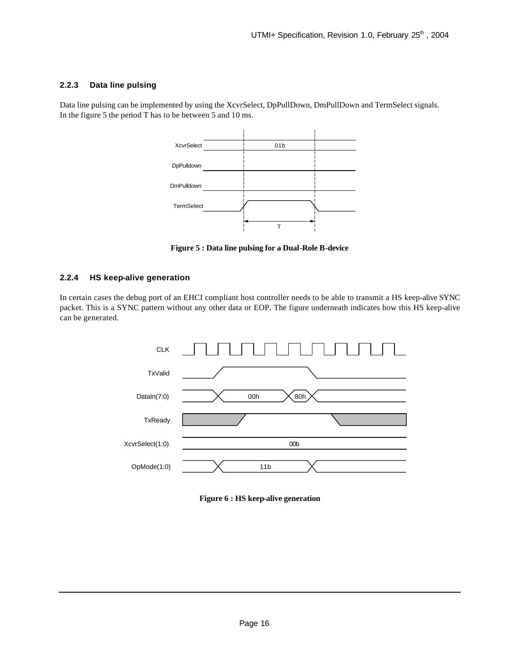#### **2.2.3 Data line pulsing**

Data line pulsing can be implemented by using the XcvrSelect, DpPullDown, DmPullDown and TermSelect signals. In the figure 5 the period T has to be between 5 and 10 ms.



**Figure 5 : Data line pulsing for a Dual-Role B-device**

#### **2.2.4 HS keep-alive generation**

In certain cases the debug port of an EHCI compliant host controller needs to be able to transmit a HS keep-alive SYNC packet. This is a SYNC pattern without any other data or EOP. The figure underneath indicates how this HS keep-alive can be generated.



**Figure 6 : HS keep-alive generation**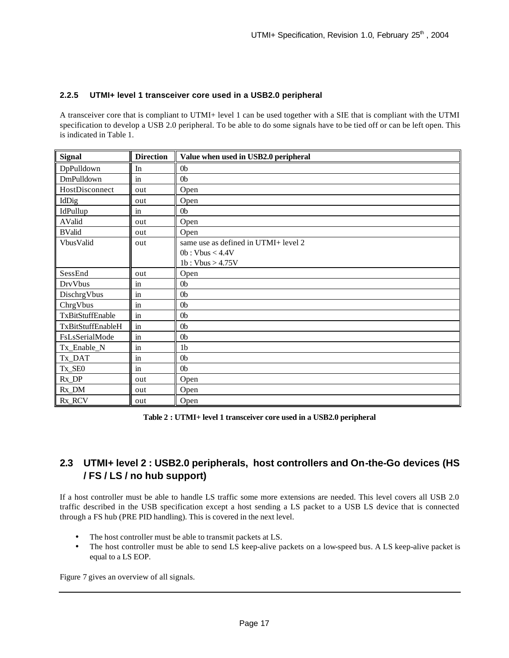#### **2.2.5 UTMI+ level 1 transceiver core used in a USB2.0 peripheral**

A transceiver core that is compliant to UTMI+ level 1 can be used together with a SIE that is compliant with the UTMI specification to develop a USB 2.0 peripheral. To be able to do some signals have to be tied off or can be left open. This is indicated in Table 1.

| <b>Signal</b>     | <b>Direction</b>    | Value when used in USB2.0 peripheral |
|-------------------|---------------------|--------------------------------------|
| DpPulldown        | In                  | 0 <sub>b</sub>                       |
| DmPulldown        | in                  | 0 <sub>b</sub>                       |
| HostDisconnect    | out                 | Open                                 |
| IdDig             | out                 | Open                                 |
| IdPullup          | $\operatorname{in}$ | 0 <sub>b</sub>                       |
| AValid            | out                 | Open                                 |
| <b>BValid</b>     | out                 | Open                                 |
| VbusValid         | out                 | same use as defined in UTMI+ level 2 |
|                   |                     | 0b:Vbus<4.4V                         |
|                   |                     | 1b: Vbus > 4.75V                     |
| SessEnd           | out                 | Open                                 |
| DrvVbus           | $\operatorname{in}$ | 0 <sub>b</sub>                       |
| DischrgVbus       | $\sin$              | 0 <sub>b</sub>                       |
| ChrgVbus          | in                  | 0 <sub>b</sub>                       |
| TxBitStuffEnable  | in                  | 0 <sub>b</sub>                       |
| TxBitStuffEnableH | $\operatorname{in}$ | 0 <sub>b</sub>                       |
| FsLsSerialMode    | in                  | 0 <sub>b</sub>                       |
| Tx_Enable_N       | $\mathbf{in}$       | 1 <sub>b</sub>                       |
| Tx_DAT            | in                  | 0 <sub>b</sub>                       |
| Tx_SE0            | $\mathbf{in}$       | 0 <sub>b</sub>                       |
| $Rx\_DP$          | out                 | Open                                 |
| Rx_DM             | out                 | Open                                 |
| Rx_RCV            | out                 | Open                                 |

**Table 2 : UTMI+ level 1 transceiver core used in a USB2.0 peripheral**

# **2.3 UTMI+ level 2 : USB2.0 peripherals, host controllers and On-the-Go devices (HS / FS / LS / no hub support)**

If a host controller must be able to handle LS traffic some more extensions are needed. This level covers all USB 2.0 traffic described in the USB specification except a host sending a LS packet to a USB LS device that is connected through a FS hub (PRE PID handling). This is covered in the next level.

- The host controller must be able to transmit packets at LS.
- The host controller must be able to send LS keep-alive packets on a low-speed bus. A LS keep-alive packet is equal to a LS EOP.

Figure 7 gives an overview of all signals.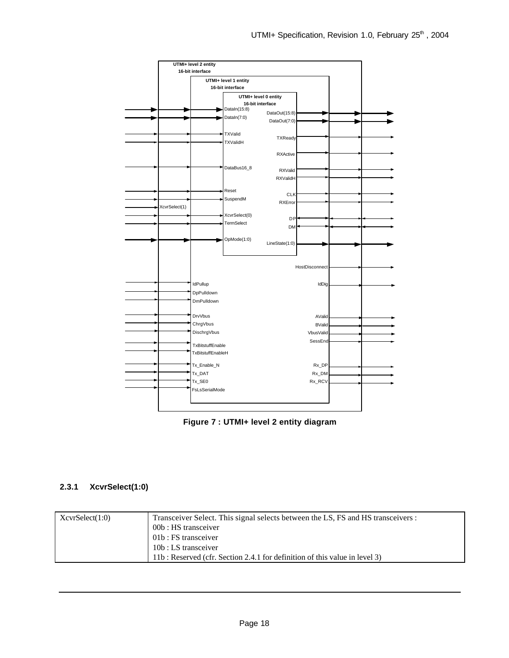

**Figure 7 : UTMI+ level 2 entity diagram** 

#### **2.3.1 XcvrSelect(1:0)**

| XcvrSelect(1:0) | Transceiver Select. This signal selects between the LS, FS and HS transceivers : |
|-----------------|----------------------------------------------------------------------------------|
|                 | 00b : HS transceiver                                                             |
|                 | 01b : FS transceiver                                                             |
|                 | 10b : LS transceiver                                                             |
|                 | 11b: Reserved (cfr. Section 2.4.1 for definition of this value in level 3)       |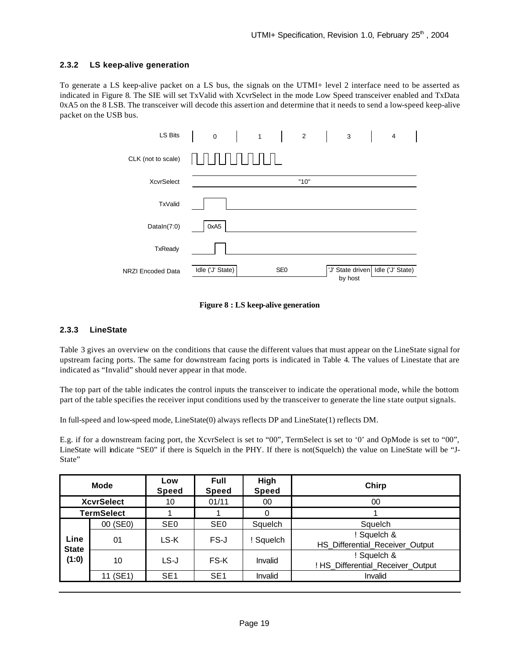#### **2.3.2 LS keep-alive generation**

To generate a LS keep-alive packet on a LS bus, the signals on the UTMI+ level 2 interface need to be asserted as indicated in Figure 8. The SIE will set TxValid with XcvrSelect in the mode Low Speed transceiver enabled and TxData 0xA5 on the 8 LSB. The transceiver will decode this assertion and determine that it needs to send a low-speed keep-alive packet on the USB bus.



#### **Figure 8 : LS keep-alive generation**

#### **2.3.3 LineState**

Table 3 gives an overview on the conditions that cause the different values that must appear on the LineState signal for upstream facing ports. The same for downstream facing ports is indicated in Table 4. The values of Linestate that are indicated as "Invalid" should never appear in that mode.

The top part of the table indicates the control inputs the transceiver to indicate the operational mode, while the bottom part of the table specifies the receiver input conditions used by the transceiver to generate the line state output signals.

In full-speed and low-speed mode, LineState(0) always reflects DP and LineState(1) reflects DM.

E.g. if for a downstream facing port, the XcvrSelect is set to "00", TermSelect is set to '0' and OpMode is set to "00", LineState will indicate "SE0" if there is Squelch in the PHY. If there is not(Squelch) the value on LineState will be "J-State"

| <b>Mode</b>                   |          | Low<br><b>Speed</b> | <b>Full</b><br>Speed | High<br><b>Speed</b> | Chirp                                            |  |  |
|-------------------------------|----------|---------------------|----------------------|----------------------|--------------------------------------------------|--|--|
| <b>XcvrSelect</b>             |          | 10                  | 01/11                | 00                   | 00                                               |  |  |
| <b>TermSelect</b>             |          |                     |                      | 0                    |                                                  |  |  |
| Line<br><b>State</b><br>(1:0) | 00 (SE0) | SE <sub>0</sub>     | SE <sub>0</sub>      | Squelch              | Squelch                                          |  |  |
|                               | 01       | LS-K                | FS-J                 | ! Squelch            | Squelch &<br>HS_Differential_Receiver_Output     |  |  |
|                               | 10       | LS-J                | FS-K                 | Invalid              | ! Squelch &<br>! HS Differential Receiver Output |  |  |
|                               | 11 (SE1) | SE <sub>1</sub>     | SE <sub>1</sub>      | Invalid              | Invalid                                          |  |  |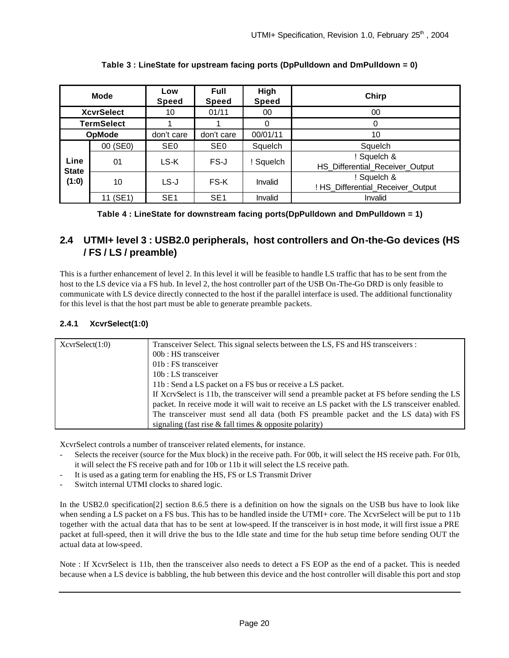| <b>Mode</b>                   |                   | Low<br>Speed    | <b>Full</b><br>Speed | High<br><b>Speed</b> | Chirp                                          |  |
|-------------------------------|-------------------|-----------------|----------------------|----------------------|------------------------------------------------|--|
| <b>XcvrSelect</b>             |                   | 10              | 01/11                | 00                   | 00                                             |  |
|                               | <b>TermSelect</b> |                 |                      | 0                    | 0                                              |  |
| <b>OpMode</b>                 |                   | don't care      | don't care           | 00/01/11             | 10                                             |  |
| Line<br><b>State</b><br>(1:0) | 00 (SE0)          | SE <sub>0</sub> | SE <sub>0</sub>      | Squelch              | Squelch                                        |  |
|                               | 01                | LS-K            | FS-J                 | ! Squelch            | ! Squelch &<br>HS_Differential_Receiver_Output |  |
|                               | 10                | $LS-J$          | FS-K                 | Invalid              | Squelch &<br>! HS_Differential_Receiver_Output |  |
|                               | (SE1)             | SE <sub>1</sub> | SE <sub>1</sub>      | Invalid              | Invalid                                        |  |

**Table 3 : LineState for upstream facing ports (DpPulldown and DmPulldown = 0)**

**Table 4 : LineState for downstream facing ports(DpPulldown and DmPulldown = 1)**

# **2.4 UTMI+ level 3 : USB2.0 peripherals, host controllers and On-the-Go devices (HS / FS / LS / preamble)**

This is a further enhancement of level 2. In this level it will be feasible to handle LS traffic that has to be sent from the host to the LS device via a FS hub. In level 2, the host controller part of the USB On-The-Go DRD is only feasible to communicate with LS device directly connected to the host if the parallel interface is used. The additional functionality for this level is that the host part must be able to generate preamble packets.

#### **2.4.1 XcvrSelect(1:0)**

| XcvrSelect(1:0) | Transceiver Select. This signal selects between the LS, FS and HS transceivers :              |  |  |  |  |  |
|-----------------|-----------------------------------------------------------------------------------------------|--|--|--|--|--|
|                 | 00b : HS transceiver                                                                          |  |  |  |  |  |
|                 | $01b$ : FS transceiver                                                                        |  |  |  |  |  |
|                 | $10b$ : LS transceiver                                                                        |  |  |  |  |  |
|                 | 11b : Send a LS packet on a FS bus or receive a LS packet.                                    |  |  |  |  |  |
|                 | If XcrvSelect is 11b, the transceiver will send a preamble packet at FS before sending the LS |  |  |  |  |  |
|                 | packet. In receive mode it will wait to receive an LS packet with the LS transceiver enabled. |  |  |  |  |  |
|                 | The transceiver must send all data (both FS preamble packet and the LS data) with FS          |  |  |  |  |  |
|                 | signaling (fast rise $\&$ fall times $\&$ opposite polarity)                                  |  |  |  |  |  |

XcvrSelect controls a number of transceiver related elements, for instance.

- Selects the receiver (source for the Mux block) in the receive path. For 00b, it will select the HS receive path. For 01b, it will select the FS receive path and for 10b or 11b it will select the LS receive path.
- It is used as a gating term for enabling the HS, FS or LS Transmit Driver
- Switch internal UTMI clocks to shared logic.

In the USB2.0 specification[2] section 8.6.5 there is a definition on how the signals on the USB bus have to look like when sending a LS packet on a FS bus. This has to be handled inside the UTMI+ core. The XcvrSelect will be put to 11b together with the actual data that has to be sent at low-speed. If the transceiver is in host mode, it will first issue a PRE packet at full-speed, then it will drive the bus to the Idle state and time for the hub setup time before sending OUT the actual data at low-speed.

Note : If XcvrSelect is 11b, then the transceiver also needs to detect a FS EOP as the end of a packet. This is needed because when a LS device is babbling, the hub between this device and the host controller will disable this port and stop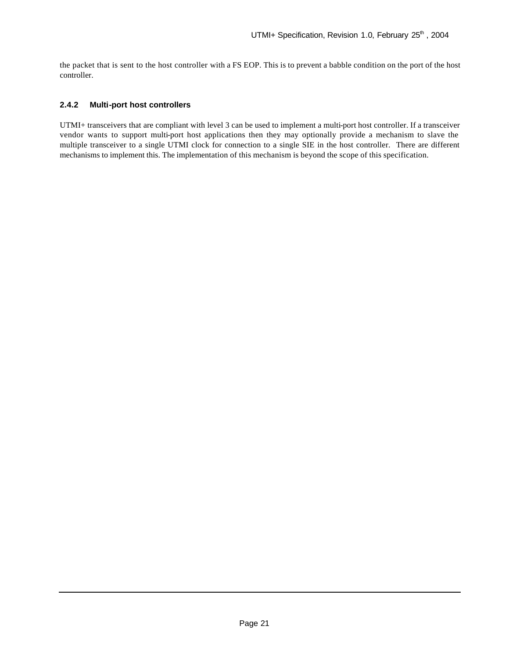the packet that is sent to the host controller with a FS EOP. This is to prevent a babble condition on the port of the host controller.

#### **2.4.2 Multi-port host controllers**

UTMI+ transceivers that are compliant with level 3 can be used to implement a multi-port host controller. If a transceiver vendor wants to support multi-port host applications then they may optionally provide a mechanism to slave the multiple transceiver to a single UTMI clock for connection to a single SIE in the host controller. There are different mechanisms to implement this. The implementation of this mechanism is beyond the scope of this specification.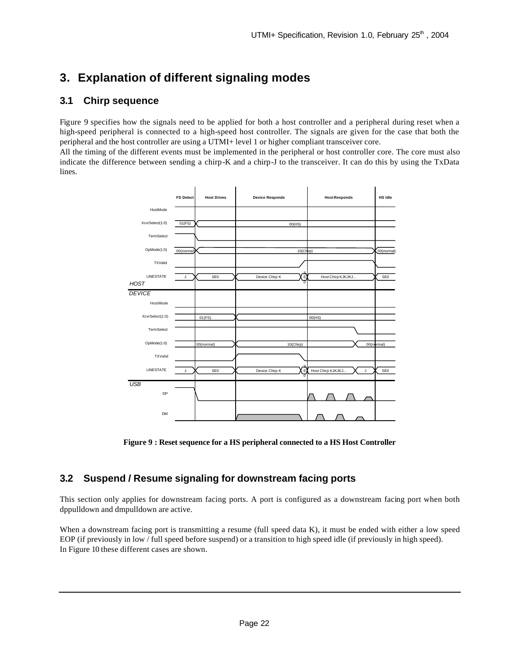# **3. Explanation of different signaling modes**

### **3.1 Chirp sequence**

Figure 9 specifies how the signals need to be applied for both a host controller and a peripheral during reset when a high-speed peripheral is connected to a high-speed host controller. The signals are given for the case that both the peripheral and the host controller are using a UTMI+ level 1 or higher compliant transceiver core.

All the timing of the different events must be implemented in the peripheral or host controller core. The core must also indicate the difference between sending a chirp-K and a chirp-J to the transceiver. It can do this by using the TxData lines.



**Figure 9 : Reset sequence for a HS peripheral connected to a HS Host Controller**

### **3.2 Suspend / Resume signaling for downstream facing ports**

This section only applies for downstream facing ports. A port is configured as a downstream facing port when both dppulldown and dmpulldown are active.

When a downstream facing port is transmitting a resume (full speed data K), it must be ended with either a low speed EOP (if previously in low / full speed before suspend) or a transition to high speed idle (if previously in high speed). In Figure 10 these different cases are shown.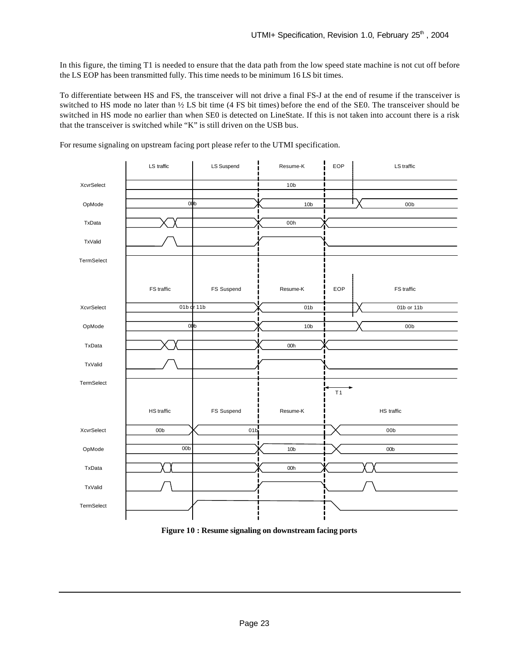In this figure, the timing T1 is needed to ensure that the data path from the low speed state machine is not cut off before the LS EOP has been transmitted fully. This time needs to be minimum 16 LS bit times.

To differentiate between HS and FS, the transceiver will not drive a final FS-J at the end of resume if the transceiver is switched to HS mode no later than ½ LS bit time (4 FS bit times) before the end of the SE0. The transceiver should be switched in HS mode no earlier than when SE0 is detected on LineState. If this is not taken into account there is a risk that the transceiver is switched while "K" is still driven on the USB bus.



For resume signaling on upstream facing port please refer to the UTMI specification.

**Figure 10 : Resume signaling on downstream facing ports**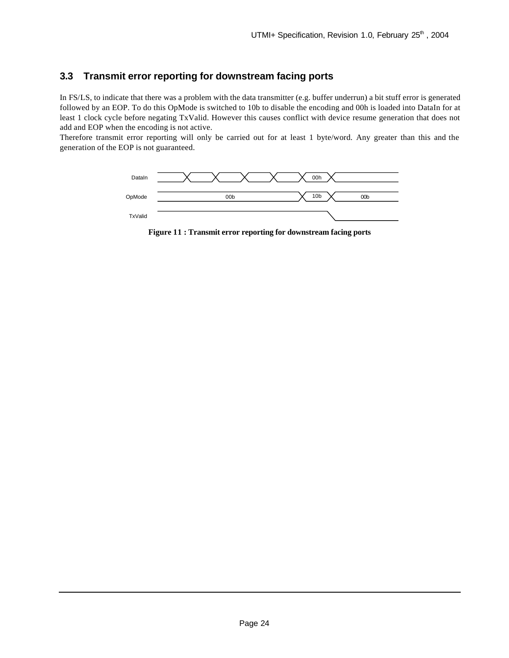# **3.3 Transmit error reporting for downstream facing ports**

In FS/LS, to indicate that there was a problem with the data transmitter (e.g. buffer underrun) a bit stuff error is generated followed by an EOP. To do this OpMode is switched to 10b to disable the encoding and 00h is loaded into DataIn for at least 1 clock cycle before negating TxValid. However this causes conflict with device resume generation that does not add and EOP when the encoding is not active.

Therefore transmit error reporting will only be carried out for at least 1 byte/word. Any greater than this and the generation of the EOP is not guaranteed.



**Figure 11 : Transmit error reporting for downstream facing ports**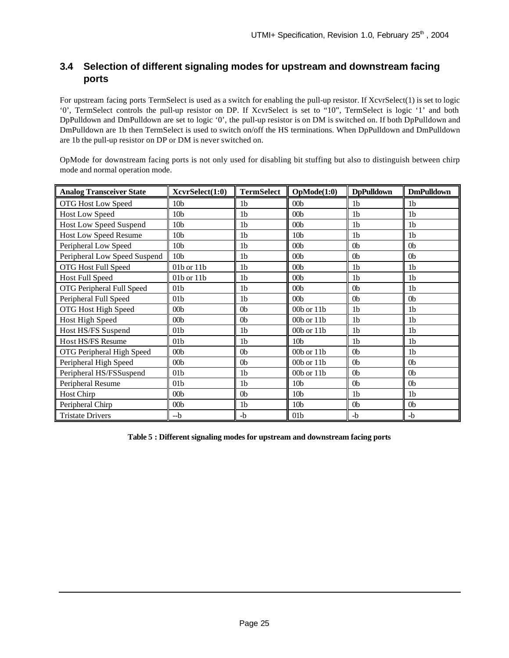# **3.4 Selection of different signaling modes for upstream and downstream facing ports**

For upstream facing ports TermSelect is used as a switch for enabling the pull-up resistor. If XcvrSelect(1) is set to logic '0', TermSelect controls the pull-up resistor on DP. If XcvrSelect is set to "10", TermSelect is logic '1' and both DpPulldown and DmPulldown are set to logic '0', the pull-up resistor is on DM is switched on. If both DpPulldown and DmPulldown are 1b then TermSelect is used to switch on/off the HS terminations. When DpPulldown and DmPulldown are 1b the pull-up resistor on DP or DM is never switched on.

OpMode for downstream facing ports is not only used for disabling bit stuffing but also to distinguish between chirp mode and normal operation mode.

| <b>Analog Transceiver State</b> | XcvrSelect(1:0) | <b>TermSelect</b> | OpMode(1:0)     | <b>DpPulldown</b> | <b>DmPulldown</b> |
|---------------------------------|-----------------|-------------------|-----------------|-------------------|-------------------|
| OTG Host Low Speed              | 10 <sub>b</sub> | 1 <sub>b</sub>    | 00 <sub>b</sub> | 1 <sub>b</sub>    | 1 <sub>b</sub>    |
| <b>Host Low Speed</b>           | 10 <sub>b</sub> | 1 <sub>b</sub>    | 00 <sub>b</sub> | 1 <sub>b</sub>    | 1 <sub>b</sub>    |
| <b>Host Low Speed Suspend</b>   | 10 <sub>b</sub> | 1 <sub>b</sub>    | 00 <sub>b</sub> | 1 <sub>b</sub>    | 1 <sub>b</sub>    |
| <b>Host Low Speed Resume</b>    | 10 <sub>b</sub> | 1 <sub>b</sub>    | 10 <sub>b</sub> | 1 <sub>b</sub>    | 1 <sub>b</sub>    |
| Peripheral Low Speed            | 10 <sub>b</sub> | 1 <sub>b</sub>    | 00 <sub>b</sub> | 0 <sub>b</sub>    | 0 <sub>b</sub>    |
| Peripheral Low Speed Suspend    | 10 <sub>b</sub> | 1 <sub>b</sub>    | 00 <sub>b</sub> | 0 <sub>b</sub>    | 0 <sub>b</sub>    |
| OTG Host Full Speed             | $01b$ or $11b$  | 1 <sub>b</sub>    | 00 <sub>b</sub> | 1 <sub>b</sub>    | 1 <sub>b</sub>    |
| <b>Host Full Speed</b>          | $01b$ or $11b$  | 1 <sub>b</sub>    | 00 <sub>b</sub> | 1 <sub>b</sub>    | 1 <sub>b</sub>    |
| OTG Peripheral Full Speed       | 01 <sub>b</sub> | 1 <sub>b</sub>    | 00 <sub>b</sub> | 0 <sub>b</sub>    | 1 <sub>b</sub>    |
| Peripheral Full Speed           | 01 <sub>b</sub> | 1 <sub>b</sub>    | 00 <sub>b</sub> | 0b                | 0 <sub>b</sub>    |
| OTG Host High Speed             | 00 <sub>b</sub> | 0b                | $00b$ or $11b$  | 1 <sub>b</sub>    | 1 <sub>b</sub>    |
| Host High Speed                 | 00 <sub>b</sub> | 0 <sub>b</sub>    | $00b$ or $11b$  | 1 <sub>b</sub>    | 1 <sub>b</sub>    |
| Host HS/FS Suspend              | 01 <sub>b</sub> | 1 <sub>b</sub>    | $00b$ or $11b$  | 1 <sub>b</sub>    | 1 <sub>b</sub>    |
| Host HS/FS Resume               | 01 <sub>b</sub> | 1 <sub>b</sub>    | 10 <sub>b</sub> | 1 <sub>b</sub>    | 1 <sub>b</sub>    |
| OTG Peripheral High Speed       | 00 <sub>b</sub> | 0 <sub>b</sub>    | $00b$ or $11b$  | 0 <sub>b</sub>    | 1 <sub>b</sub>    |
| Peripheral High Speed           | 00 <sub>b</sub> | 0 <sub>b</sub>    | $00b$ or $11b$  | 0b                | 0 <sub>b</sub>    |
| Peripheral HS/FSSuspend         | 01 <sub>b</sub> | 1 <sub>b</sub>    | 00b or 11b      | 0 <sub>b</sub>    | 0 <sub>b</sub>    |
| Peripheral Resume               | 01 <sub>b</sub> | 1 <sub>b</sub>    | 10 <sub>b</sub> | 0 <sub>b</sub>    | 0 <sub>b</sub>    |
| Host Chirp                      | 00 <sub>b</sub> | 0 <sub>b</sub>    | 10 <sub>b</sub> | 1 <sub>b</sub>    | 1 <sub>b</sub>    |
| Peripheral Chirp                | 00 <sub>b</sub> | 1 <sub>b</sub>    | 10 <sub>b</sub> | 0 <sub>b</sub>    | 0 <sub>b</sub>    |
| <b>Tristate Drivers</b>         | $-b$            | $-b$              | 01 <sub>b</sub> | $-b$              | $-b$              |

**Table 5 : Different signaling modes for upstream and downstream facing ports**